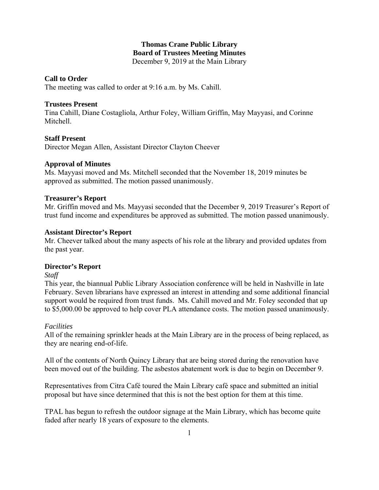# **Thomas Crane Public Library Board of Trustees Meeting Minutes**

December 9, 2019 at the Main Library

## **Call to Order**

The meeting was called to order at 9:16 a.m. by Ms. Cahill.

## **Trustees Present**

Tina Cahill, Diane Costagliola, Arthur Foley, William Griffin, May Mayyasi, and Corinne Mitchell.

## **Staff Present**

Director Megan Allen, Assistant Director Clayton Cheever

## **Approval of Minutes**

Ms. Mayyasi moved and Ms. Mitchell seconded that the November 18, 2019 minutes be approved as submitted. The motion passed unanimously.

## **Treasurer's Report**

Mr. Griffin moved and Ms. Mayyasi seconded that the December 9, 2019 Treasurer's Report of trust fund income and expenditures be approved as submitted. The motion passed unanimously.

## **Assistant Director's Report**

Mr. Cheever talked about the many aspects of his role at the library and provided updates from the past year.

## **Director's Report**

*Staff* 

This year, the biannual Public Library Association conference will be held in Nashville in late February. Seven librarians have expressed an interest in attending and some additional financial support would be required from trust funds. Ms. Cahill moved and Mr. Foley seconded that up to \$5,000.00 be approved to help cover PLA attendance costs. The motion passed unanimously.

## *Facilities*

All of the remaining sprinkler heads at the Main Library are in the process of being replaced, as they are nearing end-of-life.

All of the contents of North Quincy Library that are being stored during the renovation have been moved out of the building. The asbestos abatement work is due to begin on December 9.

Representatives from Citra Café toured the Main Library café space and submitted an initial proposal but have since determined that this is not the best option for them at this time.

TPAL has begun to refresh the outdoor signage at the Main Library, which has become quite faded after nearly 18 years of exposure to the elements.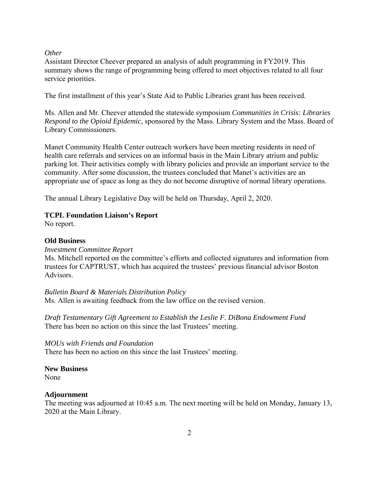#### *Other*

Assistant Director Cheever prepared an analysis of adult programming in FY2019. This summary shows the range of programming being offered to meet objectives related to all four service priorities.

The first installment of this year's State Aid to Public Libraries grant has been received.

Ms. Allen and Mr. Cheever attended the statewide symposium *Communities in Crisis: Libraries Respond to the Opioid Epidemic*, sponsored by the Mass. Library System and the Mass. Board of Library Commissioners.

Manet Community Health Center outreach workers have been meeting residents in need of health care referrals and services on an informal basis in the Main Library atrium and public parking lot. Their activities comply with library policies and provide an important service to the community. After some discussion, the trustees concluded that Manet's activities are an appropriate use of space as long as they do not become disruptive of normal library operations.

The annual Library Legislative Day will be held on Thursday, April 2, 2020.

#### **TCPL Foundation Liaison's Report**

No report.

#### **Old Business**

#### *Investment Committee Report*

Ms. Mitchell reported on the committee's efforts and collected signatures and information from trustees for CAPTRUST, which has acquired the trustees' previous financial advisor Boston **Advisors** 

#### *Bulletin Board & Materials Distribution Policy*

Ms. Allen is awaiting feedback from the law office on the revised version.

*Draft Testamentary Gift Agreement to Establish the Leslie F. DiBona Endowment Fund*  There has been no action on this since the last Trustees' meeting.

#### *MOUs with Friends and Foundation*

There has been no action on this since the last Trustees' meeting.

#### **New Business**

None

#### **Adjournment**

The meeting was adjourned at 10:45 a.m. The next meeting will be held on Monday, January 13, 2020 at the Main Library.